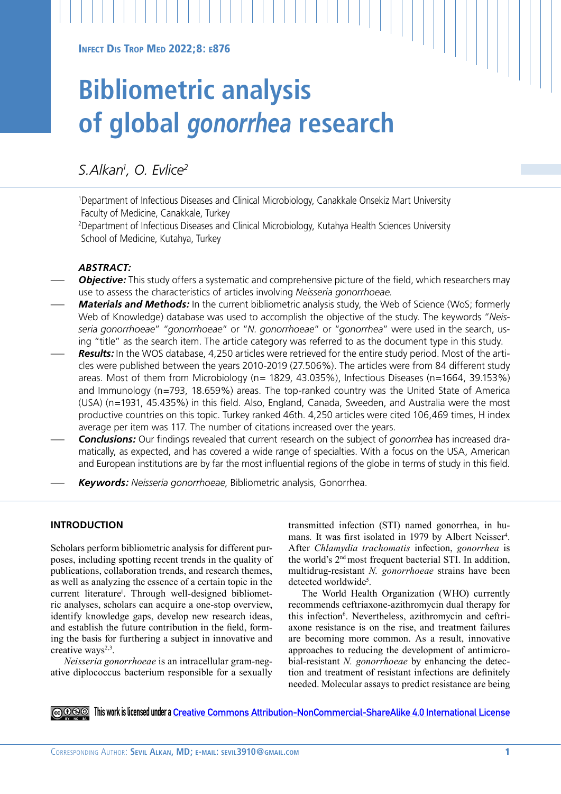# **Bibliometric analysis of global** *gonorrhea* **research**

# *S.Alkan1 , O. Evlice2*

1 Department of Infectious Diseases and Clinical Microbiology, Canakkale Onsekiz Mart University Faculty of Medicine, Canakkale, Turkey

2 Department of Infectious Diseases and Clinical Microbiology, Kutahya Health Sciences University School of Medicine, Kutahya, Turkey

# *ABSTRACT:*

- **Objective:** This study offers a systematic and comprehensive picture of the field, which researchers may use to assess the characteristics of articles involving *Neisseria gonorrhoeae*.
- *Materials and Methods:* In the current bibliometric analysis study, the Web of Science (WoS; formerly Web of Knowledge) database was used to accomplish the objective of the study. The keywords "*Neisseria gonorrhoeae*" "*gonorrhoeae*" or "*N. gonorrhoeae*" or "*gonorrhea*" were used in the search, using "title" as the search item. The article category was referred to as the document type in this study.
- *Results:* In the WOS database, 4,250 articles were retrieved for the entire study period. Most of the articles were published between the years 2010-2019 (27.506%). The articles were from 84 different study areas. Most of them from Microbiology (n= 1829, 43.035%), Infectious Diseases (n=1664, 39.153%) and Immunology (n=793, 18.659%) areas. The top-ranked country was the United State of America (USA) (n=1931, 45.435%) in this field. Also, England, Canada, Sweeden, and Australia were the most productive countries on this topic. Turkey ranked 46th. 4,250 articles were cited 106,469 times, H index average per item was 117. The number of citations increased over the years.
- *Conclusions:* Our findings revealed that current research on the subject of *gonorrhea* has increased dramatically, as expected, and has covered a wide range of specialties. With a focus on the USA, American and European institutions are by far the most influential regions of the globe in terms of study in this field.
- *Keywords: Neisseria gonorrhoeae*, Bibliometric analysis, Gonorrhea.

# **INTRODUCTION**

Scholars perform bibliometric analysis for different purposes, including spotting recent trends in the quality of publications, collaboration trends, and research themes, as well as analyzing the essence of a certain topic in the current literature<sup>1</sup>. Through well-designed bibliometric analyses, scholars can acquire a one-stop overview, identify knowledge gaps, develop new research ideas, and establish the future contribution in the field, forming the basis for furthering a subject in innovative and creative ways<sup>2,3</sup>.

*Neisseria gonorrhoeae* is an intracellular gram-negative diplococcus bacterium responsible for a sexually transmitted infection (STI) named gonorrhea, in humans. It was first isolated in 1979 by Albert Neisser<sup>4</sup>. After *Chlamydia trachomatis* infection, *gonorrhea* is the world's 2nd most frequent bacterial STI. In addition, multidrug-resistant *N. gonorrhoeae* strains have been detected worldwide<sup>5</sup>.

The World Health Organization (WHO) currently recommends ceftriaxone-azithromycin dual therapy for this infection<sup>6</sup>. Nevertheless, azithromycin and ceftriaxone resistance is on the rise, and treatment failures are becoming more common. As a result, innovative approaches to reducing the development of antimicrobial-resistant *N. gonorrhoeae* by enhancing the detection and treatment of resistant infections are definitely needed. Molecular assays to predict resistance are being

**This work is licensed under a [Creative Commons Attribution-NonCommercial-ShareAlike 4.0 International License](https://creativecommons.org/licenses/by-nc-sa/4.0/)**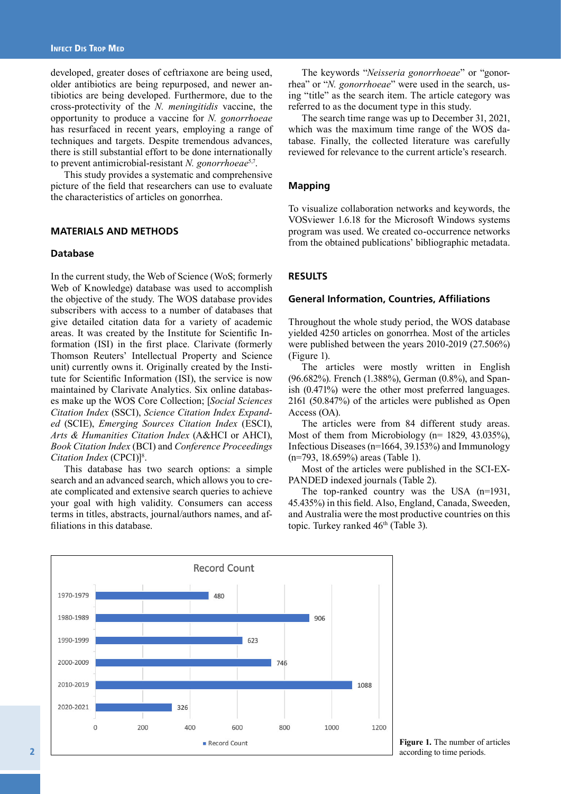developed, greater doses of ceftriaxone are being used, older antibiotics are being repurposed, and newer antibiotics are being developed. Furthermore, due to the cross-protectivity of the *N. meningitidis* vaccine, the opportunity to produce a vaccine for *N. gonorrhoeae* has resurfaced in recent years, employing a range of techniques and targets. Despite tremendous advances, there is still substantial effort to be done internationally to prevent antimicrobial-resistant *N. gonorrhoeae*5,7.

This study provides a systematic and comprehensive picture of the field that researchers can use to evaluate the characteristics of articles on gonorrhea.

## **MATERIALS AND METHODS**

#### **Database**

In the current study, the Web of Science (WoS; formerly Web of Knowledge) database was used to accomplish the objective of the study. The WOS database provides subscribers with access to a number of databases that give detailed citation data for a variety of academic areas. It was created by the Institute for Scientific Information (ISI) in the first place. Clarivate (formerly Thomson Reuters' Intellectual Property and Science unit) currently owns it. Originally created by the Institute for Scientific Information (ISI), the service is now maintained by Clarivate Analytics. Six online databases make up the WOS Core Collection; [*Social Sciences Citation Index* (SSCI), *Science Citation Index Expanded* (SCIE), *Emerging Sources Citation Index* (ESCI), *Arts & Humanities Citation Index* (A&HCI or AHCI), *Book Citation Index* (BCI) and *Conference Proceedings*  Citation Index (CPCI)]<sup>8</sup>.

This database has two search options: a simple search and an advanced search, which allows you to create complicated and extensive search queries to achieve your goal with high validity. Consumers can access terms in titles, abstracts, journal/authors names, and affiliations in this database.

The keywords "*Neisseria gonorrhoeae*" or "gonorrhea" or "*N. gonorrhoeae*" were used in the search, using "title" as the search item. The article category was referred to as the document type in this study.

The search time range was up to December 31, 2021, which was the maximum time range of the WOS database. Finally, the collected literature was carefully reviewed for relevance to the current article's research.

#### **Mapping**

To visualize collaboration networks and keywords, the VOSviewer 1.6.18 for the Microsoft Windows systems program was used. We created co-occurrence networks from the obtained publications' bibliographic metadata.

#### **RESULTS**

#### **General Information, Countries, Affiliations**

Throughout the whole study period, the WOS database yielded 4250 articles on gonorrhea. Most of the articles were published between the years 2010-2019 (27.506%) (Figure 1).

The articles were mostly written in English (96.682%). French (1.388%), German (0.8%), and Spanish (0.471%) were the other most preferred languages. 2161 (50.847%) of the articles were published as Open Access (OA).

The articles were from 84 different study areas. Most of them from Microbiology (n= 1829, 43.035%), Infectious Diseases (n=1664, 39.153%) and Immunology (n=793, 18.659%) areas (Table 1).

Most of the articles were published in the SCI-EX-PANDED indexed journals (Table 2).

The top-ranked country was the USA (n=1931, 45.435%) in this field. Also, England, Canada, Sweeden, and Australia were the most productive countries on this topic. Turkey ranked 46<sup>th</sup> (Table 3).



**Figure 1.** The number of articles according to time periods.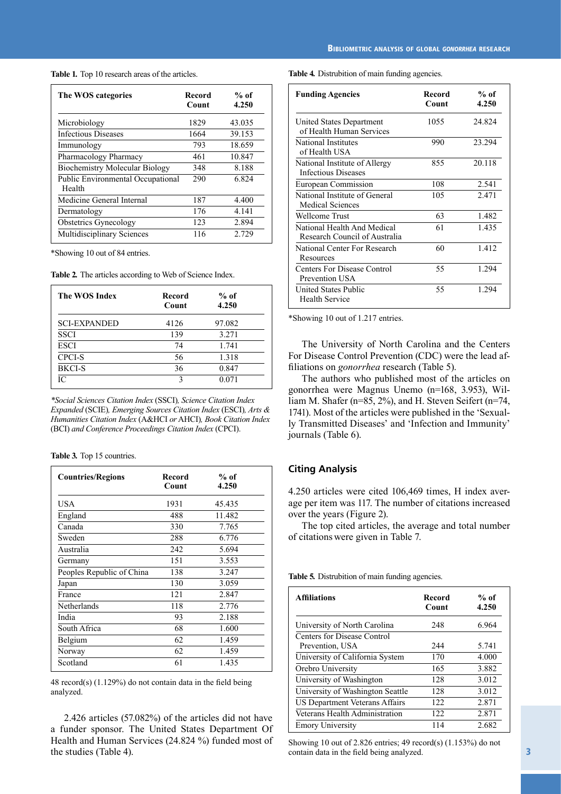**Table 1***.* Top 10 research areas of the articles.

| The WOS categories                          | Record<br>Count | $%$ of<br>4.250 |
|---------------------------------------------|-----------------|-----------------|
| Microbiology                                | 1829            | 43.035          |
| <b>Infectious Diseases</b>                  | 1664            | 39.153          |
| Immunology                                  | 793             | 18.659          |
| Pharmacology Pharmacy                       | 461             | 10.847          |
| <b>Biochemistry Molecular Biology</b>       | 348             | 8.188           |
| Public Environmental Occupational<br>Health | 290             | 6.824           |
| Medicine General Internal                   | 187             | 4.400           |
| Dermatology                                 | 176             | 4.141           |
| <b>Obstetrics Gynecology</b>                | 123             | 2.894           |
| Multidisciplinary Sciences                  | 116             | 2.729           |

\*Showing 10 out of 84 entries.

**Table 2***.* The articles according to Web of Science Index.

| The WOS Index       | Record<br>Count | $%$ of<br>4.250 |
|---------------------|-----------------|-----------------|
| <b>SCI-EXPANDED</b> | 4126            | 97.082          |
| <b>SSCI</b>         | 139             | 3.271           |
| <b>ESCI</b>         | 74              | 1.741           |
| <b>CPCI-S</b>       | 56              | 1.318           |
| <b>BKCI-S</b>       | 36              | 0.847           |
| IС                  | 3               | 0.071           |
|                     |                 |                 |

*\*Social Sciences Citation Index* (SSCI)*, Science Citation Index Expanded* (SCIE)*, Emerging Sources Citation Index* (ESCI)*, Arts & Humanities Citation Index* (A&HCI *or* AHCI)*, Book Citation Index*  (BCI) *and Conference Proceedings Citation Index* (CPCI).

**Table 3***.* Top 15 countries.

| <b>Countries/Regions</b>  | Record<br>Count | $%$ of<br>4.250 |
|---------------------------|-----------------|-----------------|
| USA                       | 1931            | 45.435          |
| England                   | 488             | 11.482          |
| Canada                    | 330             | 7.765           |
| Sweden                    | 288             | 6.776           |
| Australia                 | 242             | 5.694           |
| Germany                   | 151             | 3.553           |
| Peoples Republic of China | 138             | 3.247           |
| Japan                     | 130             | 3.059           |
| France                    | 121             | 2.847           |
| Netherlands               | 118             | 2.776           |
| India                     | 93              | 2.188           |
| South Africa              | 68              | 1.600           |
| Belgium                   | 62              | 1.459           |
| Norway                    | 62              | 1.459           |
| Scotland                  | 61              | 1.435           |

48 record(s) (1.129%) do not contain data in the field being analyzed.

2.426 articles (57.082%) of the articles did not have a funder sponsor. The United States Department Of Health and Human Services (24.824 %) funded most of the studies (Table 4).

**Table 4***.* Distrubition of main funding agencies.

| <b>Funding Agencies</b>                                      | Record<br>Count | $%$ of<br>4.250 |
|--------------------------------------------------------------|-----------------|-----------------|
| United States Department<br>of Health Human Services         | 1055            | 24.824          |
| National Institutes<br>of Health USA                         | 990             | 23.294          |
| National Institute of Allergy<br><b>Infectious Diseases</b>  | 855             | 20.118          |
| European Commission                                          | 108             | 2.541           |
| National Institute of General<br><b>Medical Sciences</b>     | 105             | 2.471           |
| Wellcome Trust                                               | 63              | 1.482           |
| National Health And Medical<br>Research Council of Australia | 61              | 1.435           |
| National Center For Research<br>Resources                    | 60              | 1.412           |
| Centers For Disease Control<br>Prevention USA                | 55              | 1.294           |
| United States Public<br><b>Health Service</b>                | 55              | 1.294           |

\*Showing 10 out of 1.217 entries.

The University of North Carolina and the Centers For Disease Control Prevention (CDC) were the lead affiliations on *gonorrhea* research (Table 5).

The authors who published most of the articles on gonorrhea were Magnus Unemo (n=168, 3.953), William M. Shafer (n=85, 2%), and H. Steven Seifert (n=74, 1741). Most of the articles were published in the 'Sexually Transmitted Diseases' and 'Infection and Immunity' journals (Table 6).

# **Citing Analysis**

4.250 articles were cited 106,469 times, H index average per item was 117. The number of citations increased over the years (Figure 2).

The top cited articles, the average and total number of citations were given in Table 7.

**Table 5***.* Distrubition of main funding agencies.

| <b>Affiliations</b>              | Record<br>Count | $%$ of<br>4.250 |
|----------------------------------|-----------------|-----------------|
| University of North Carolina     | 248             | 6.964           |
| Centers for Disease Control      |                 |                 |
| Prevention, USA                  | 244             | 5.741           |
| University of California System  | 170             | 4.000           |
| Orebro University                | 165             | 3.882           |
| University of Washington         | 128             | 3.012           |
| University of Washington Seattle | 128             | 3.012           |
| US Department Veterans Affairs   | 122.            | 2.871           |
| Veterans Health Administration   | 122.            | 2.871           |
| <b>Emory University</b>          | 114             | 2.682           |

Showing 10 out of 2.826 entries; 49 record(s) (1.153%) do not contain data in the field being analyzed.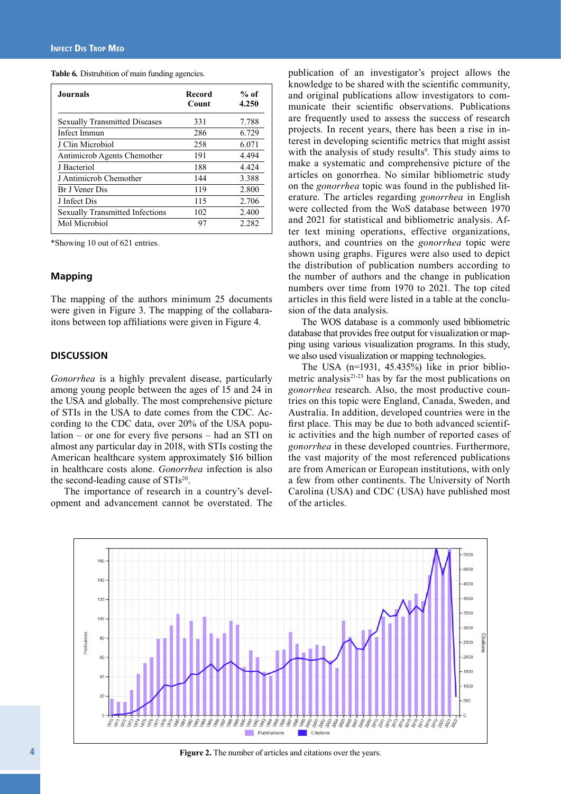**Table 6***.* Distrubition of main funding agencies.

| <b>Journals</b>                        | Record<br>Count | $%$ of<br>4.250 |
|----------------------------------------|-----------------|-----------------|
| <b>Sexually Transmitted Diseases</b>   | 331             | 7.788           |
| Infect Immun                           | 286             | 6.729           |
| J Clin Microbiol                       | 258             | 6.071           |
| Antimicrob Agents Chemother            | 191             | 4.494           |
| J Bacteriol                            | 188             | 4.424           |
| J Antimicrob Chemother                 | 144             | 3.388           |
| Br J Vener Dis                         | 119             | 2.800           |
| J Infect Dis                           | 115             | 2.706           |
| <b>Sexually Transmitted Infections</b> | 102             | 2.400           |
| Mol Microbiol                          | 97              | 2.282           |

\*Showing 10 out of 621 entries.

#### **Mapping**

The mapping of the authors minimum 25 documents were given in Figure 3. The mapping of the collabaraitons between top affiliations were given in Figure 4.

### **DISCUSSION**

*Gonorrhea* is a highly prevalent disease, particularly among young people between the ages of 15 and 24 in the USA and globally. The most comprehensive picture of STIs in the USA to date comes from the CDC. According to the CDC data, over 20% of the USA population – or one for every five persons – had an STI on almost any particular day in 2018, with STIs costing the American healthcare system approximately \$16 billion in healthcare costs alone. *Gonorrhea* infection is also the second-leading cause of STIs<sup>20</sup>.

The importance of research in a country's development and advancement cannot be overstated. The

publication of an investigator's project allows the knowledge to be shared with the scientific community, and original publications allow investigators to communicate their scientific observations. Publications are frequently used to assess the success of research projects. In recent years, there has been a rise in interest in developing scientific metrics that might assist with the analysis of study results<sup>9</sup>. This study aims to make a systematic and comprehensive picture of the articles on gonorrhea. No similar bibliometric study on the *gonorrhea* topic was found in the published literature. The articles regarding *gonorrhea* in English were collected from the WoS database between 1970 and 2021 for statistical and bibliometric analysis. After text mining operations, effective organizations, authors, and countries on the *gonorrhea* topic were shown using graphs. Figures were also used to depict the distribution of publication numbers according to the number of authors and the change in publication numbers over time from 1970 to 2021. The top cited articles in this field were listed in a table at the conclusion of the data analysis.

The WOS database is a commonly used bibliometric database that provides free output for visualization or mapping using various visualization programs. In this study, we also used visualization or mapping technologies.

The USA  $(n=1931, 45.435%)$  like in prior bibliometric analysis $2^{1-23}$  has by far the most publications on *gonorrhea* research. Also, the most productive countries on this topic were England, Canada, Sweden, and Australia. In addition, developed countries were in the first place. This may be due to both advanced scientific activities and the high number of reported cases of *gonorrhea* in these developed countries. Furthermore, the vast majority of the most referenced publications are from American or European institutions, with only a few from other continents. The University of North Carolina (USA) and CDC (USA) have published most of the articles.



Figure 2. The number of articles and citations over the years.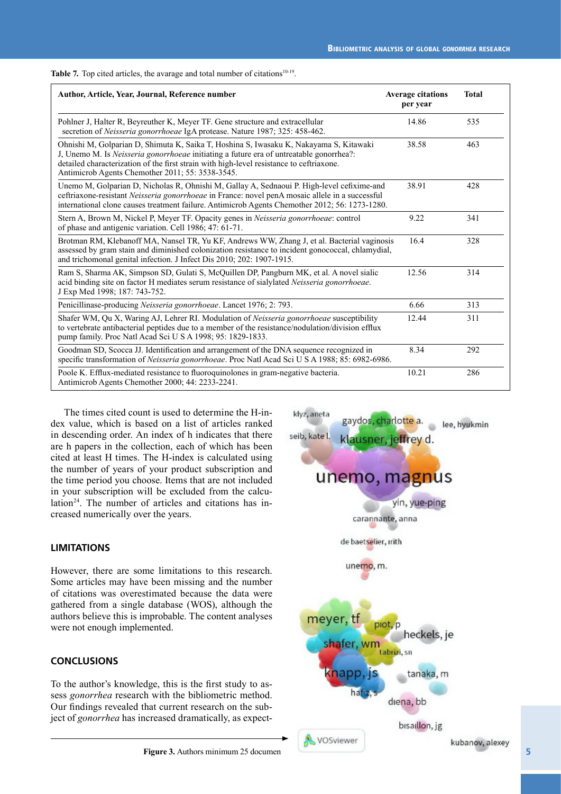Table 7. Top cited articles, the avarage and total number of citations<sup>10-19</sup>.

| Author, Article, Year, Journal, Reference number                                                                                                                                                                                                                                                                                  | <b>Average citations</b><br>per year | <b>Total</b> |
|-----------------------------------------------------------------------------------------------------------------------------------------------------------------------------------------------------------------------------------------------------------------------------------------------------------------------------------|--------------------------------------|--------------|
| Pohlner J, Halter R, Beyreuther K, Meyer TF. Gene structure and extracellular<br>secretion of Neisseria gonorrhoeae IgA protease. Nature 1987; 325: 458-462.                                                                                                                                                                      | 14.86                                | 535          |
| Ohnishi M, Golparian D, Shimuta K, Saika T, Hoshina S, Iwasaku K, Nakayama S, Kitawaki<br>J, Unemo M. Is Neisseria gonorrhoeae initiating a future era of untreatable gonorrhea?:<br>detailed characterization of the first strain with high-level resistance to ceftriaxone.<br>Antimicrob Agents Chemother 2011; 55: 3538-3545. | 38.58                                | 463          |
| Unemo M, Golparian D, Nicholas R, Ohnishi M, Gallay A, Sednaoui P. High-level cefixime-and<br>ceftriaxone-resistant Neisseria gonorrhoeae in France: novel penA mosaic allele in a successful<br>international clone causes treatment failure. Antimicrob Agents Chemother 2012; 56: 1273-1280.                                   | 38.91                                | 428          |
| Stern A, Brown M, Nickel P, Meyer TF. Opacity genes in Neisseria gonorrhoeae: control<br>of phase and antigenic variation. Cell 1986; 47: 61-71.                                                                                                                                                                                  | 9.22                                 | 341          |
| Brotman RM, Klebanoff MA, Nansel TR, Yu KF, Andrews WW, Zhang J, et al. Bacterial vaginosis<br>assessed by gram stain and diminished colonization resistance to incident gonococcal, chlamydial,<br>and trichomonal genital infection. J Infect Dis 2010; 202: 1907-1915.                                                         | 16.4                                 | 328          |
| Ram S, Sharma AK, Simpson SD, Gulati S, McQuillen DP, Pangburn MK, et al. A novel sialic<br>acid binding site on factor H mediates serum resistance of sialylated Neisseria gonorrhoeae.<br>J Exp Med 1998; 187: 743-752.                                                                                                         | 12.56                                | 314          |
| Penicillinase-producing Neisseria gonorrhoeae. Lancet 1976; 2: 793.                                                                                                                                                                                                                                                               | 6.66                                 | 313          |
| Shafer WM, Qu X, Waring AJ, Lehrer RI. Modulation of Neisseria gonorrhoeae susceptibility<br>to vertebrate antibacterial peptides due to a member of the resistance/nodulation/division efflux<br>pump family. Proc Natl Acad Sci U S A 1998; 95: 1829-1833.                                                                      | 12.44                                | 311          |
| Goodman SD, Scocca JJ. Identification and arrangement of the DNA sequence recognized in<br>specific transformation of Neisseria gonorrhoeae. Proc Natl Acad Sci U S A 1988; 85: 6982-6986.                                                                                                                                        | 8.34                                 | 292          |
| Poole K. Efflux-mediated resistance to fluoroquinolones in gram-negative bacteria.<br>Antimicrob Agents Chemother 2000; 44: 2233-2241.                                                                                                                                                                                            | 10.21                                | 286          |

The times cited count is used to determine the H-index value, which is based on a list of articles ranked in descending order. An index of h indicates that there are h papers in the collection, each of which has been cited at least H times. The H-index is calculated using the number of years of your product subscription and the time period you choose. Items that are not included in your subscription will be excluded from the calculation<sup>24</sup>. The number of articles and citations has increased numerically over the years.

# **LIMITATIONS**

However, there are some limitations to this research. Some articles may have been missing and the number of citations was overestimated because the data were gathered from a single database (WOS), although the authors believe this is improbable. The content analyses were not enough implemented.

# **CONCLUSIONS**

To the author's knowledge, this is the first study to assess *gonorrhea* research with the bibliometric method. Our findings revealed that current research on the subject of *gonorrhea* has increased dramatically, as expect-

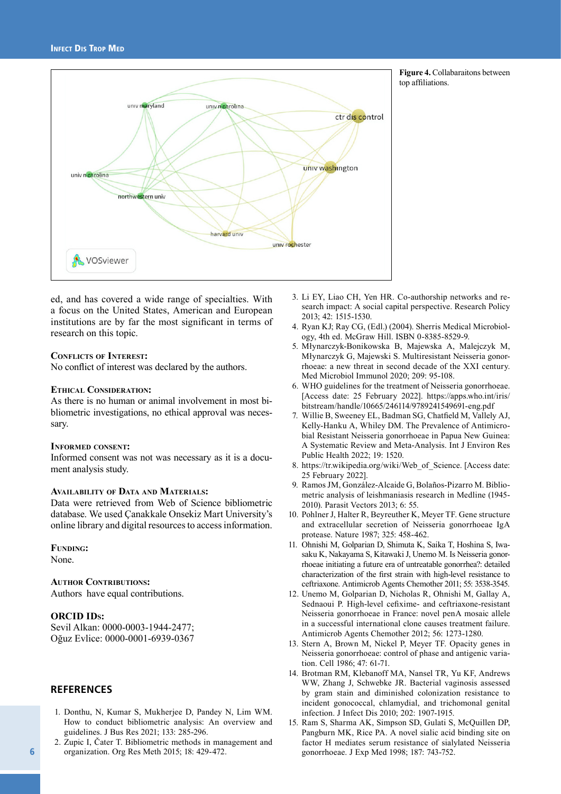

**Figure 4.** Collabaraitons between top affiliations.

ed, and has covered a wide range of specialties. With a focus on the United States, American and European institutions are by far the most significant in terms of research on this topic.

#### **Conflıcts of Interest:**

No conflict of interest was declared by the authors.

#### **Ethical Consideration:**

As there is no human or animal involvement in most bibliometric investigations, no ethical approval was necessary.

#### **Informed consent:**

Informed consent was not was necessary as it is a document analysis study.

#### **Availability of Data and Materials:**

Data were retrieved from Web of Science bibliometric database. We used Çanakkale Onsekiz Mart University's online library and digital resources to access information.

**Funding:** 

None.

**AUTHOR CONTRIBUTIONS:** Authors have equal contributions.

#### **ORCID IDs:**

Sevil Alkan: 0000-0003-1944-2477; Oğuz Evlice: 0000-0001-6939-0367

#### **REFERENCES**

- 1. Donthu, N, Kumar S, Mukherjee D, Pandey N, Lim WM. How to conduct bibliometric analysis: An overview and guidelines. J Bus Res 2021; 133: 285-296.
- 2. Zupic I, Čater T. Bibliometric methods in management and organization. Org Res Meth 2015; 18: 429-472.
- 3. Li EY, Liao CH, Yen HR. Co-authorship networks and research impact: A social capital perspective. Research Policy 2013; 42: 1515-1530.
- 4. Ryan KJ; Ray CG, (Edl.) (2004). Sherris Medical Microbiology, 4th ed. McGraw Hill. ISBN 0-8385-8529-9.
- 5. Młynarczyk-Bonikowska B, Majewska A, Malejczyk M, Młynarczyk G, Majewski S. Multiresistant Neisseria gonorrhoeae: a new threat in second decade of the XXI century. Med Microbiol Immunol 2020; 209: 95-108.
- 6. WHO guidelines for the treatment of Neisseria gonorrhoeae. [Access date: 25 February 2022]. https://apps.who.int/iris/ bitstream/handle/10665/246114/9789241549691-eng.pdf
- 7. Willie B, Sweeney EL, Badman SG, Chatfield M, Vallely AJ, Kelly-Hanku A, Whiley DM. The Prevalence of Antimicrobial Resistant Neisseria gonorrhoeae in Papua New Guinea: A Systematic Review and Meta-Analysis. Int J Environ Res Public Health 2022; 19: 1520.
- 8. https://tr.wikipedia.org/wiki/Web\_of\_Science. [Access date: 25 February 2022].
- 9. Ramos JM, González-Alcaide G, Bolaños-Pizarro M. Bibliometric analysis of leishmaniasis research in Medline (1945- 2010). Parasit Vectors 2013; 6: 55.
- 10. Pohlner J, Halter R, Beyreuther K, Meyer TF. Gene structure and extracellular secretion of Neisseria gonorrhoeae IgA protease. Nature 1987; 325: 458-462.
- 11. Ohnishi M, Golparian D, Shimuta K, Saika T, Hoshina S, Iwasaku K, Nakayama S, Kitawaki J, Unemo M. Is Neisseria gonorrhoeae initiating a future era of untreatable gonorrhea?: detailed characterization of the first strain with high-level resistance to ceftriaxone. Antimicrob Agents Chemother 2011; 55: 3538-3545.
- 12. Unemo M, Golparian D, Nicholas R, Ohnishi M, Gallay A, Sednaoui P. High-level cefixime- and ceftriaxone-resistant Neisseria gonorrhoeae in France: novel penA mosaic allele in a successful international clone causes treatment failure. Antimicrob Agents Chemother 2012; 56: 1273-1280.
- 13. Stern A, Brown M, Nickel P, Meyer TF. Opacity genes in Neisseria gonorrhoeae: control of phase and antigenic variation. Cell 1986; 47: 61-71.
- 14. Brotman RM, Klebanoff MA, Nansel TR, Yu KF, Andrews WW, Zhang J, Schwebke JR. Bacterial vaginosis assessed by gram stain and diminished colonization resistance to incident gonococcal, chlamydial, and trichomonal genital infection. J Infect Dis 2010; 202: 1907-1915.
- 15. Ram S, Sharma AK, Simpson SD, Gulati S, McQuillen DP, Pangburn MK, Rice PA. A novel sialic acid binding site on factor H mediates serum resistance of sialylated Neisseria gonorrhoeae. J Exp Med 1998; 187: 743-752.